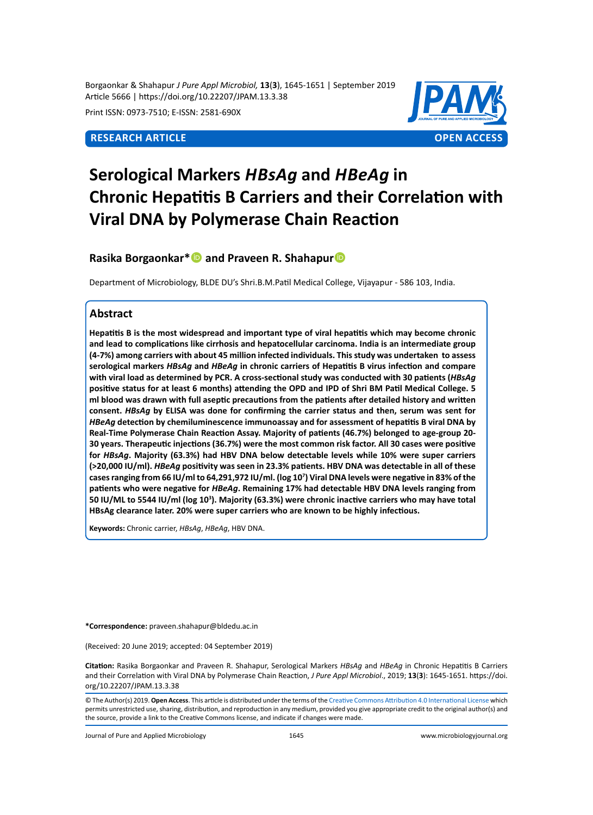Borgaonkar & Shahapur *J Pure Appl Microbiol,* **13**(**3**), 1645-1651 | September 2019 Article 5666 | https://doi.org/10.22207/JPAM.13.3.38

Print ISSN: 0973-7510; E-ISSN: 2581-690X



# **Serological Markers** *Hbsag* **and** *Hbeag* **in Chronic Hepatitis B Carriers and their Correlation with Viral DNA by Polymerase Chain Reaction**

**Rasika Borgaonkar\***<sup>**D**</sup> and Praveen R. Shahapur<sup>D</sup>

Department of Microbiology, BLDE DU's Shri.B.M.Patil Medical College, Vijayapur - 586 103, India.

# **Abstract**

**Hepatitis B is the most widespread and important type of viral hepatitis which may become chronic and lead to complications like cirrhosis and hepatocellular carcinoma. India is an intermediate group (4-7%) among carriers with about 45 million infected individuals. This study was undertaken to assess serological markers** *HBsAg* **and** *HBeAg* **in chronic carriers of Hepatitis B virus infection and compare with viral load as determined by PCR. A cross-sectional study was conducted with 30 patients (***HBsAg* **positive status for at least 6 months) attending the OPD and IPD of Shri BM Patil Medical College. 5 ml blood was drawn with full aseptic precautions from the patients after detailed history and written consent.** *HBsAg* **by ELISA was done for confirming the carrier status and then, serum was sent for**  *HBeAg* **detection by chemiluminescence immunoassay and for assessment of hepatitis B viral DNA by Real-Time Polymerase Chain Reaction Assay. Majority of patients (46.7%) belonged to age-group 20- 30 years. Therapeutic injections (36.7%) were the most common risk factor. All 30 cases were positive for** *HBsAg***. Majority (63.3%) had HBV DNA below detectable levels while 10% were super carriers (>20,000 IU/ml).** *HBeAg* **positivity was seen in 23.3% patients. HBV DNA was detectable in all of these cases ranging from 66 IU/ml to 64,291,972 IU/ml. (log 10<sup>7</sup> ) Viral DNA levels were negative in 83% of the patients who were negative for** *HBeAg***. Remaining 17% had detectable HBV DNA levels ranging from 50 IU/ML to 5544 IU/ml (log 10<sup>3</sup> ). Majority (63.3%) were chronic inactive carriers who may have total HBsAg clearance later. 20% were super carriers who are known to be highly infectious.** 

**Keywords:** Chronic carrier, *HBsAg*, *HBeAg*, HBV DNA.

**\*Correspondence:** praveen.shahapur@bldedu.ac.in

(Received: 20 June 2019; accepted: 04 September 2019)

**Citation:** Rasika Borgaonkar and Praveen R. Shahapur, Serological Markers *HBsAg* and *HBeAg* in Chronic Hepatitis B Carriers and their Correlation with Viral DNA by Polymerase Chain Reaction, *J Pure Appl Microbiol*., 2019; **13**(**3**): 1645-1651. https://doi. org/10.22207/JPAM.13.3.38

© The Author(s) 2019. **Open Access**. This article is distributed under the terms of the [Creative Commons Attribution 4.0 International License](https://creativecommons.org/licenses/by/4.0/) which permits unrestricted use, sharing, distribution, and reproduction in any medium, provided you give appropriate credit to the original author(s) and the source, provide a link to the Creative Commons license, and indicate if changes were made.

Journal of Pure and Applied Microbiology 1645 www.microbiologyjournal.org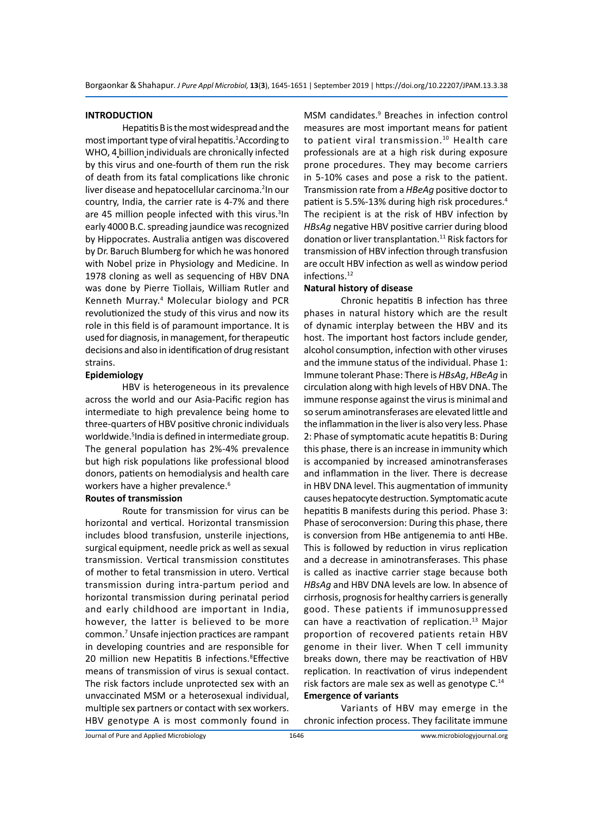# **INTRODUCTION**

Hepatitis B is the most widespread and the most important type of viral hepatitis.<sup>1</sup>According to WHO, 4 billion individuals are chronically infected by this virus and one-fourth of them run the risk of death from its fatal complications like chronic liver disease and hepatocellular carcinoma.<sup>2</sup>In our country, India, the carrier rate is 4-7% and there are 45 million people infected with this virus.<sup>3</sup>In early 4000 B.C. spreading jaundice was recognized by Hippocrates. Australia antigen was discovered by Dr. Baruch Blumberg for which he was honored with Nobel prize in Physiology and Medicine. In 1978 cloning as well as sequencing of HBV DNA was done by Pierre Tiollais, William Rutler and Kenneth Murray.<sup>4</sup> Molecular biology and PCR revolutionized the study of this virus and now its role in this field is of paramount importance. It is used for diagnosis, in management, for therapeutic decisions and also in identification of drug resistant strains.

# **Epidemiology**

HBV is heterogeneous in its prevalence across the world and our Asia-Pacific region has intermediate to high prevalence being home to three-quarters of HBV positive chronic individuals worldwide.<sup>5</sup>India is defined in intermediate group. The general population has 2%-4% prevalence but high risk populations like professional blood donors, patients on hemodialysis and health care workers have a higher prevalence.<sup>6</sup>

# **Routes of transmission**

Route for transmission for virus can be horizontal and vertical. Horizontal transmission includes blood transfusion, unsterile injections, surgical equipment, needle prick as well as sexual transmission. Vertical transmission constitutes of mother to fetal transmission in utero. Vertical transmission during intra-partum period and horizontal transmission during perinatal period and early childhood are important in India, however, the latter is believed to be more common.<sup>7</sup> Unsafe injection practices are rampant in developing countries and are responsible for 20 million new Hepatitis B infections.<sup>8</sup>Effective means of transmission of virus is sexual contact. The risk factors include unprotected sex with an unvaccinated MSM or a heterosexual individual, multiple sex partners or contact with sex workers. HBV genotype A is most commonly found in

MSM candidates.<sup>9</sup> Breaches in infection control measures are most important means for patient to patient viral transmission.<sup>10</sup> Health care professionals are at a high risk during exposure prone procedures. They may become carriers in 5-10% cases and pose a risk to the patient. Transmission rate from a *HBeAg* positive doctor to patient is 5.5%-13% during high risk procedures.<sup>4</sup> The recipient is at the risk of HBV infection by *HBsAg* negative HBV positive carrier during blood donation or liver transplantation.<sup>11</sup> Risk factors for transmission of HBV infection through transfusion are occult HBV infection as well as window period infections.<sup>12</sup>

# **Natural history of disease**

Chronic hepatitis B infection has three phases in natural history which are the result of dynamic interplay between the HBV and its host. The important host factors include gender, alcohol consumption, infection with other viruses and the immune status of the individual. Phase 1: Immune tolerant Phase: There is *HBsAg*, *HBeAg* in circulation along with high levels of HBV DNA. The immune response against the virus is minimal and so serum aminotransferases are elevated little and the inflammation in the liver is also very less. Phase 2: Phase of symptomatic acute hepatitis B: During this phase, there is an increase in immunity which is accompanied by increased aminotransferases and inflammation in the liver. There is decrease in HBV DNA level. This augmentation of immunity causes hepatocyte destruction. Symptomatic acute hepatitis B manifests during this period. Phase 3: Phase of seroconversion: During this phase, there is conversion from HBe antigenemia to anti HBe. This is followed by reduction in virus replication and a decrease in aminotransferases. This phase is called as inactive carrier stage because both *HBsAg* and HBV DNA levels are low. In absence of cirrhosis, prognosis for healthy carriers is generally good. These patients if immunosuppressed can have a reactivation of replication.<sup>13</sup> Major proportion of recovered patients retain HBV genome in their liver. When T cell immunity breaks down, there may be reactivation of HBV replication. In reactivation of virus independent risk factors are male sex as well as genotype C.<sup>14</sup> **Emergence of variants**

Variants of HBV may emerge in the chronic infection process. They facilitate immune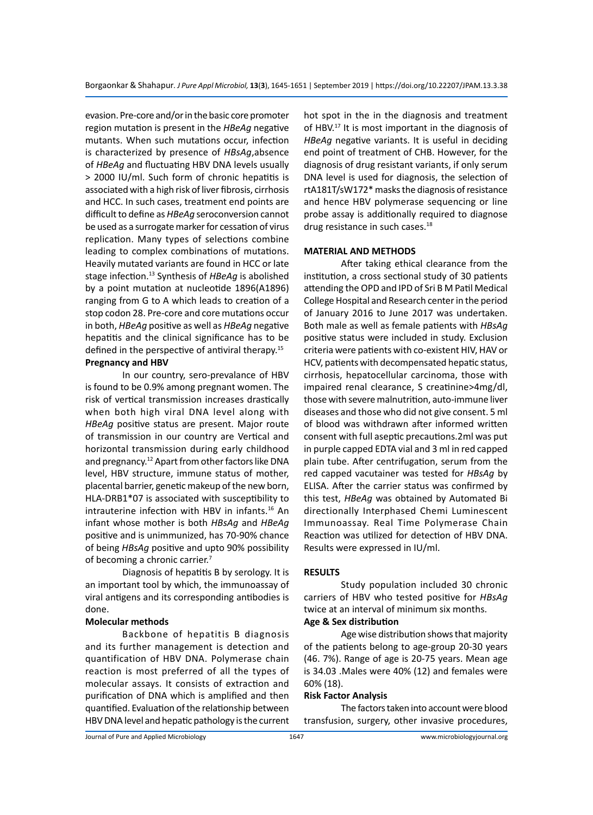evasion. Pre-core and/or in the basic core promoter region mutation is present in the *HBeAg* negative mutants. When such mutations occur, infection is characterized by presence of *HBsAg*,absence of *HBeAg* and fluctuating HBV DNA levels usually > 2000 IU/ml. Such form of chronic hepatitis is associated with a high risk of liver fibrosis, cirrhosis and HCC. In such cases, treatment end points are difficult to define as *HBeAg* seroconversion cannot be used as a surrogate marker for cessation of virus replication. Many types of selections combine leading to complex combinations of mutations. Heavily mutated variants are found in HCC or late stage infection.13 Synthesis of *HBeAg* is abolished by a point mutation at nucleotide 1896(A1896) ranging from G to A which leads to creation of a stop codon 28. Pre-core and core mutations occur in both, *HBeAg* positive as well as *HBeAg* negative hepatitis and the clinical significance has to be defined in the perspective of antiviral therapy.<sup>15</sup> **Pregnancy and HBV**

In our country, sero-prevalance of HBV is found to be 0.9% among pregnant women. The risk of vertical transmission increases drastically when both high viral DNA level along with *HBeAg* positive status are present. Major route of transmission in our country are Vertical and horizontal transmission during early childhood and pregnancy.<sup>12</sup> Apart from other factors like DNA level, HBV structure, immune status of mother, placental barrier, genetic makeup of the new born, HLA-DRB1\*07 is associated with susceptibility to intrauterine infection with HBV in infants.<sup>16</sup> An infant whose mother is both *HBsAg* and *HBeAg* positive and is unimmunized, has 70-90% chance of being *HBsAg* positive and upto 90% possibility of becoming a chronic carrier.<sup>7</sup>

Diagnosis of hepatitis B by serology. It is an important tool by which, the immunoassay of viral antigens and its corresponding antibodies is done.

# **Molecular methods**

Backbone of hepatitis B diagnosis and its further management is detection and quantification of HBV DNA. Polymerase chain reaction is most preferred of all the types of molecular assays. It consists of extraction and purification of DNA which is amplified and then quantified. Evaluation of the relationship between HBV DNA level and hepatic pathology is the current hot spot in the in the diagnosis and treatment of HBV.17 It is most important in the diagnosis of *HBeAg* negative variants. It is useful in deciding end point of treatment of CHB. However, for the diagnosis of drug resistant variants, if only serum DNA level is used for diagnosis, the selection of rtA181T/sW172\* masks the diagnosis of resistance and hence HBV polymerase sequencing or line probe assay is additionally required to diagnose drug resistance in such cases.<sup>18</sup>

# **MATERIAL AND METHODS**

After taking ethical clearance from the institution, a cross sectional study of 30 patients attending the OPD and IPD of Sri B M Patil Medical College Hospital and Research center in the period of January 2016 to June 2017 was undertaken. Both male as well as female patients with *HBsAg* positive status were included in study. Exclusion criteria were patients with co-existent HIV, HAV or HCV, patients with decompensated hepatic status, cirrhosis, hepatocellular carcinoma, those with impaired renal clearance, S creatinine>4mg/dl, those with severe malnutrition, auto-immune liver diseases and those who did not give consent. 5 ml of blood was withdrawn after informed written consent with full aseptic precautions.2ml was put in purple capped EDTA vial and 3 ml in red capped plain tube. After centrifugation, serum from the red capped vacutainer was tested for *HBsAg* by ELISA. After the carrier status was confirmed by this test, *HBeAg* was obtained by Automated Bi directionally Interphased Chemi Luminescent Immunoassay. Real Time Polymerase Chain Reaction was utilized for detection of HBV DNA. Results were expressed in IU/ml.

# **RESULTS**

Study population included 30 chronic carriers of HBV who tested positive for *HBsAg* twice at an interval of minimum six months.

# **Age & Sex distribution**

Age wise distribution shows that majority of the patients belong to age-group 20-30 years (46. 7%). Range of age is 20-75 years. Mean age is 34.03 .Males were 40% (12) and females were 60% (18).

### **Risk Factor Analysis**

The factors taken into account were blood transfusion, surgery, other invasive procedures,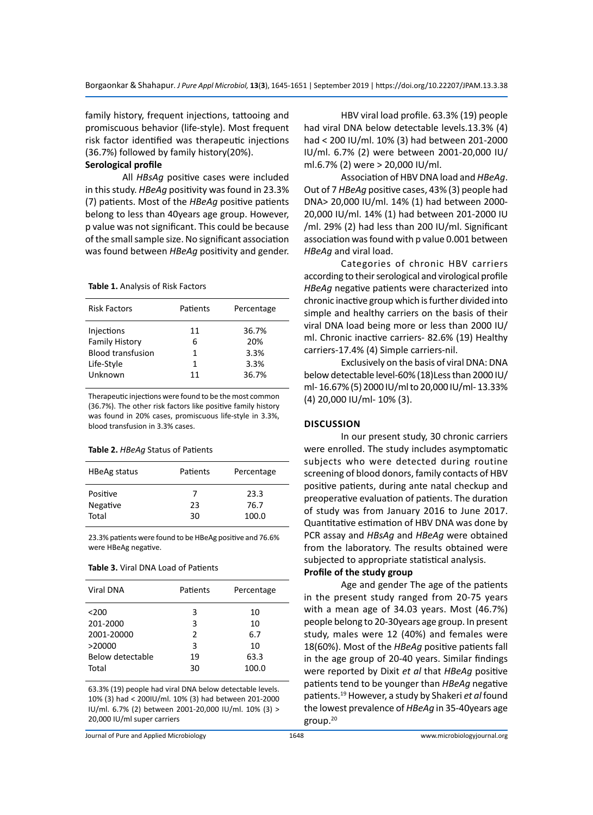family history, frequent injections, tattooing and promiscuous behavior (life-style). Most frequent risk factor identified was therapeutic injections (36.7%) followed by family history(20%).

# **Serological profile**

All *HBsAg* positive cases were included in this study. *HBeAg* positivity was found in 23.3% (7) patients. Most of the *HBeAg* positive patients belong to less than 40years age group. However, p value was not significant. This could be because of the small sample size. No significant association was found between *HBeAg* positivity and gender.

#### **Table 1.** Analysis of Risk Factors

| <b>Risk Factors</b>                                                                      | Patients<br>Percentage                                           |
|------------------------------------------------------------------------------------------|------------------------------------------------------------------|
| Injections<br><b>Family History</b><br><b>Blood transfusion</b><br>Life-Style<br>Unknown | 36.7%<br>11<br>20%<br>6<br>3.3%<br>1<br>3.3%<br>1<br>36.7%<br>11 |

Therapeutic injections were found to be the most common (36.7%). The other risk factors like positive family history was found in 20% cases, promiscuous life-style in 3.3%, blood transfusion in 3.3% cases.

**Table 2.** *HBeAg* Status of Patients

| <b>HBeAg status</b>           | Patients      | Percentage            |
|-------------------------------|---------------|-----------------------|
| Positive<br>Negative<br>Total | 7<br>23<br>30 | 23.3<br>76.7<br>100.0 |
|                               |               |                       |

23.3% patients were found to be HBeAg positive and 76.6% were HBeAg negative.

**Table 3.** Viral DNA Load of Patients

| <b>Viral DNA</b> | Patients | Percentage |
|------------------|----------|------------|
| $200$            | 3        | 10         |
| 201-2000         | 3        | 10         |
| 2001-20000       | 2        | 6.7        |
| >20000           | 3        | 10         |
| Below detectable | 19       | 63.3       |
| Total            | 30       | 100.0      |

63.3% (19) people had viral DNA below detectable levels. 10% (3) had < 200IU/ml. 10% (3) had between 201-2000 IU/ml. 6.7% (2) between 2001-20,000 IU/ml. 10% (3) > 20,000 IU/ml super carriers

Journal of Pure and Applied Microbiology

HBV viral load profile. 63.3% (19) people had viral DNA below detectable levels.13.3% (4) had < 200 IU/ml. 10% (3) had between 201-2000 IU/ml. 6.7% (2) were between 2001-20,000 IU/ ml.6.7% (2) were > 20,000 IU/ml.

Association of HBV DNA load and *HBeAg*. Out of 7 *HBeAg* positive cases, 43% (3) people had DNA> 20,000 IU/ml. 14% (1) had between 2000- 20,000 IU/ml. 14% (1) had between 201-2000 IU /ml. 29% (2) had less than 200 IU/ml. Significant association was found with p value 0.001 between *HBeAg* and viral load.

Categories of chronic HBV carriers according to their serological and virological profile *HBeAg* negative patients were characterized into chronic inactive group which is further divided into simple and healthy carriers on the basis of their viral DNA load being more or less than 2000 IU/ ml. Chronic inactive carriers- 82.6% (19) Healthy carriers-17.4% (4) Simple carriers-nil.

Exclusively on the basis of viral DNA: DNA below detectable level-60% (18)Less than 2000 IU/ ml- 16.67% (5) 2000 IU/ml to 20,000 IU/ml- 13.33% (4) 20,000 IU/ml- 10% (3).

#### **Discussion**

In our present study, 30 chronic carriers were enrolled. The study includes asymptomatic subjects who were detected during routine screening of blood donors, family contacts of HBV positive patients, during ante natal checkup and preoperative evaluation of patients. The duration of study was from January 2016 to June 2017. Quantitative estimation of HBV DNA was done by PCR assay and *HBsAg* and *HBeAg* were obtained from the laboratory. The results obtained were subjected to appropriate statistical analysis.

# **Profile of the study group**

Age and gender The age of the patients in the present study ranged from 20-75 years with a mean age of 34.03 years. Most (46.7%) people belong to 20-30years age group. In present study, males were 12 (40%) and females were 18(60%). Most of the *HBeAg* positive patients fall in the age group of 20-40 years. Similar findings were reported by Dixit *et al* that *HBeAg* positive patients tend to be younger than *HBeAg* negative patients.<sup>19</sup> However, a study by Shakeri *et al* found the lowest prevalence of *HBeAg* in 35-40years age group.20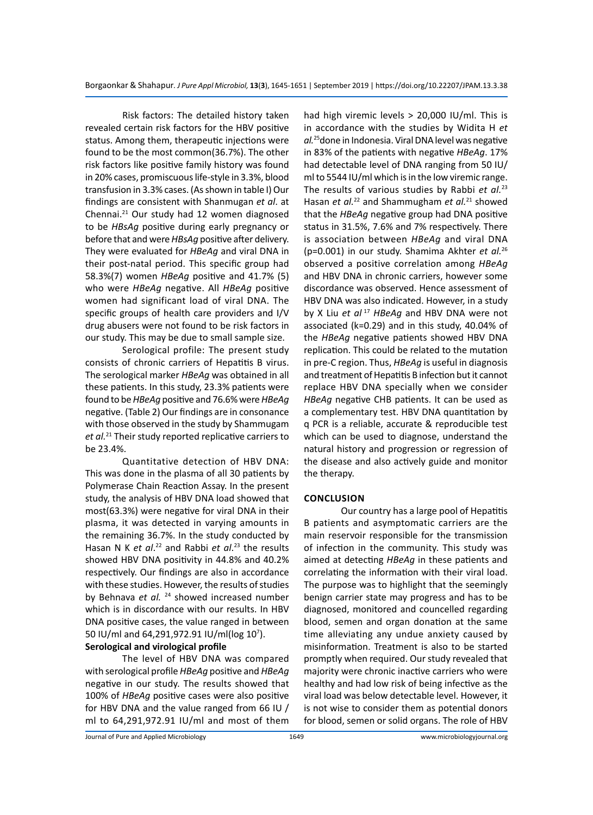Risk factors: The detailed history taken revealed certain risk factors for the HBV positive status. Among them, therapeutic injections were found to be the most common(36.7%). The other risk factors like positive family history was found in 20% cases, promiscuous life-style in 3.3%, blood transfusion in 3.3% cases. (As shown in table I) Our findings are consistent with Shanmugan *et al*. at Chennai.21 Our study had 12 women diagnosed to be *HBsAg* positive during early pregnancy or before that and were *HBsAg* positive after delivery. They were evaluated for *HBeAg* and viral DNA in their post-natal period. This specific group had 58.3%(7) women *HBeAg* positive and 41.7% (5) who were *HBeAg* negative. All *HBeAg* positive women had significant load of viral DNA. The specific groups of health care providers and I/V drug abusers were not found to be risk factors in our study. This may be due to small sample size.

Serological profile: The present study consists of chronic carriers of Hepatitis B virus. The serological marker *HBeAg* was obtained in all these patients. In this study, 23.3% patients were found to be *HBeAg* positive and 76.6% were *HBeAg* negative. (Table 2) Our findings are in consonance with those observed in the study by Shammugam *et al.*<sup>21</sup> Their study reported replicative carriers to be 23.4%.

Quantitative detection of HBV DNA: This was done in the plasma of all 30 patients by Polymerase Chain Reaction Assay. In the present study, the analysis of HBV DNA load showed that most(63.3%) were negative for viral DNA in their plasma, it was detected in varying amounts in the remaining 36.7%. In the study conducted by Hasan N K *et al*. 22 and Rabbi *et al*. <sup>23</sup> the results showed HBV DNA positivity in 44.8% and 40.2% respectively. Our findings are also in accordance with these studies. However, the results of studies by Behnava *et al.* <sup>24</sup> showed increased number which is in discordance with our results. In HBV DNA positive cases, the value ranged in between 50 IU/ml and 64,291,972.91 IU/ml(log 10<sup>7</sup>).

# **Serological and virological profile**

The level of HBV DNA was compared with serological profile *HBeAg* positive and *HBeAg* negative in our study. The results showed that 100% of *HBeAg* positive cases were also positive for HBV DNA and the value ranged from 66 IU / ml to 64,291,972.91 IU/ml and most of them had high viremic levels > 20,000 IU/ml. This is in accordance with the studies by Widita H *et al.*<sup>25</sup>done in Indonesia. Viral DNA level was negative in 83% of the patients with negative *HBeAg*. 17% had detectable level of DNA ranging from 50 IU/ ml to 5544 IU/ml which is in the low viremic range. The results of various studies by Rabbi *et al.*<sup>23</sup> Hasan *et al.*<sup>22</sup> and Shammugham *et al.*<sup>21</sup> showed that the *HBeAg* negative group had DNA positive status in 31.5%, 7.6% and 7% respectively. There is association between *HBeAg* and viral DNA (p=0.001) in our study. Shamima Akhter *et al.*<sup>26</sup> observed a positive correlation among *HBeAg* and HBV DNA in chronic carriers, however some discordance was observed. Hence assessment of HBV DNA was also indicated. However, in a study by X Liu *et al*<sup>17</sup> *HBeAg* and HBV DNA were not associated (k=0.29) and in this study, 40.04% of the *HBeAg* negative patients showed HBV DNA replication. This could be related to the mutation in pre-C region. Thus, *HBeAg* is useful in diagnosis and treatment of Hepatitis B infection but it cannot replace HBV DNA specially when we consider *HBeAg* negative CHB patients. It can be used as a complementary test. HBV DNA quantitation by q PCR is a reliable, accurate & reproducible test which can be used to diagnose, understand the natural history and progression or regression of the disease and also actively guide and monitor the therapy.

# **CONCLUSION**

Our country has a large pool of Hepatitis B patients and asymptomatic carriers are the main reservoir responsible for the transmission of infection in the community. This study was aimed at detecting *HBeAg* in these patients and correlating the information with their viral load. The purpose was to highlight that the seemingly benign carrier state may progress and has to be diagnosed, monitored and councelled regarding blood, semen and organ donation at the same time alleviating any undue anxiety caused by misinformation. Treatment is also to be started promptly when required. Our study revealed that majority were chronic inactive carriers who were healthy and had low risk of being infective as the viral load was below detectable level. However, it is not wise to consider them as potential donors for blood, semen or solid organs. The role of HBV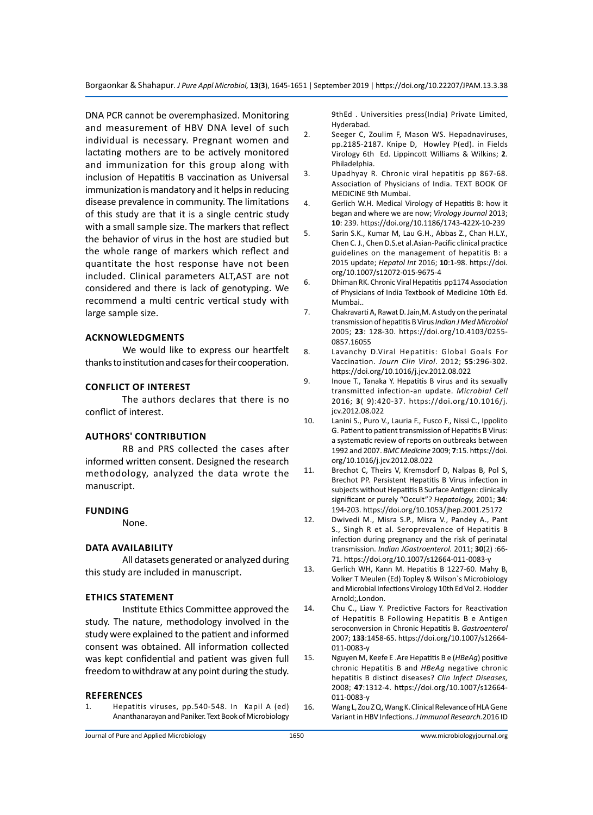Borgaonkar & Shahapur*. J Pure Appl Microbiol,* **13**(**3**), 1645-1651 | September 2019 | https://doi.org/10.22207/JPAM.13.3.38

DNA PCR cannot be overemphasized. Monitoring and measurement of HBV DNA level of such individual is necessary. Pregnant women and lactating mothers are to be actively monitored and immunization for this group along with inclusion of Hepatitis B vaccination as Universal immunization is mandatory and it helps in reducing disease prevalence in community. The limitations of this study are that it is a single centric study with a small sample size. The markers that reflect the behavior of virus in the host are studied but the whole range of markers which reflect and quantitate the host response have not been included. Clinical parameters ALT,AST are not considered and there is lack of genotyping. We recommend a multi centric vertical study with large sample size.

# **Acknowledgments**

We would like to express our heartfelt thanks to institution and cases for their cooperation.

# **Conflict of interest**

The authors declares that there is no conflict of interest.

# **Authors' contribution**

RB and PRS collected the cases after informed written consent. Designed the research methodology, analyzed the data wrote the manuscript.

### **Funding**

None.

# **Data availability**

All datasets generated or analyzed during this study are included in manuscript.

# **Ethics statement**

Institute Ethics Committee approved the study. The nature, methodology involved in the study were explained to the patient and informed consent was obtained. All information collected was kept confidential and patient was given full freedom to withdraw at any point during the study.

#### **REFERENCES**

1. Hepatitis viruses, pp.540-548. In Kapil A (ed) Ananthanarayan and Paniker. Text Book of Microbiology 9thEd . Universities press(India) Private Limited, Hyderabad.

- 2. Seeger C, Zoulim F, Mason WS. Hepadnaviruses, pp.2185-2187. Knipe D, Howley P(ed). in Fields Virology 6th Ed. Lippincott Williams & Wilkins; **2**. Philadelphia.
- 3. Upadhyay R. Chronic viral hepatitis pp 867-68. Association of Physicians of India. TEXT BOOK OF MEDICINE 9th Mumbai.
- 4. Gerlich W.H. Medical Virology of Hepatitis B: how it began and where we are now; *Virology Journal* 2013; **10**: 239. https://doi.org/10.1186/1743-422X-10-239
- 5. Sarin S.K., Kumar M, Lau G.H., Abbas Z., Chan H.L.Y., Chen C. J., Chen D.S.et al.Asian-Pacific clinical practice guidelines on the management of hepatitis B: a 2015 update; *Hepatol Int* 2016; **10**:1-98. https://doi. org/10.1007/s12072-015-9675-4
- 6. Dhiman RK. Chronic Viral Hepatitis pp1174 Association of Physicians of India Textbook of Medicine 10th Ed. Mumbai..
- 7. Chakravarti A, Rawat D. Jain,M. A study on the perinatal transmission of hepatitis B Virus *Indian J Med Microbiol*  2005; **23**: 128-30. https://doi.org/10.4103/0255- 0857.16055
- 8. Lavanchy D.Viral Hepatitis: Global Goals For Vaccination. *Journ Clin Virol*. 2012; **55**:296-302. https://doi.org/10.1016/j.jcv.2012.08.022
- 9. Inoue T., Tanaka Y. Hepatitis B virus and its sexually transmitted infection-an update. *Microbial Cell*  2016; **3**( 9):420-37. https://doi.org/10.1016/j. jcv.2012.08.022
- 10. Lanini S., Puro V., Lauria F., Fusco F., Nissi C., Ippolito G. Patient to patient transmission of Hepatitis B Virus: a systematic review of reports on outbreaks between 1992 and 2007. *BMC Medicine* 2009; **7**:15. https://doi. org/10.1016/j.jcv.2012.08.022
- 11. Brechot C, Theirs V, Kremsdorf D, Nalpas B, Pol S, Brechot PP. Persistent Hepatitis B Virus infection in subjects without Hepatitis B Surface Antigen: clinically significant or purely "Occult"? *Hepatology,* 2001; **34**: 194-203. https://doi.org/10.1053/jhep.2001.25172
- 12. Dwivedi M., Misra S.P., Misra V., Pandey A., Pant S., Singh R et al. Seroprevalence of Hepatitis B infection during pregnancy and the risk of perinatal transmission. *Indian JGastroenterol.* 2011; **30**(2) :66- 71. https://doi.org/10.1007/s12664-011-0083-y
- 13. Gerlich WH, Kann M. Hepatitis B 1227-60. Mahy B, Volker T Meulen (Ed) Topley & Wilson`s Microbiology and Microbial Infections Virology 10th Ed Vol 2. Hodder Arnold;,London.
- 14. Chu C., Liaw Y. Predictive Factors for Reactivation of Hepatitis B Following Hepatitis B e Antigen seroconversion in Chronic Hepatitis B. *Gastroenterol*  2007; **133**:1458-65. https://doi.org/10.1007/s12664- 011-0083-y
- 15. Nguyen M, Keefe E .Are Hepatitis B e (*HBeAg*) positive chronic Hepatitis B and *HBeAg* negative chronic hepatitis B distinct diseases? *Clin Infect Diseases,*  2008; **47**:1312-4. https://doi.org/10.1007/s12664- 011-0083-y
- 16. Wang L, Zou Z Q, Wang K. Clinical Relevance of HLA Gene Variant in HBV Infections. *J Immunol Research.*2016 ID